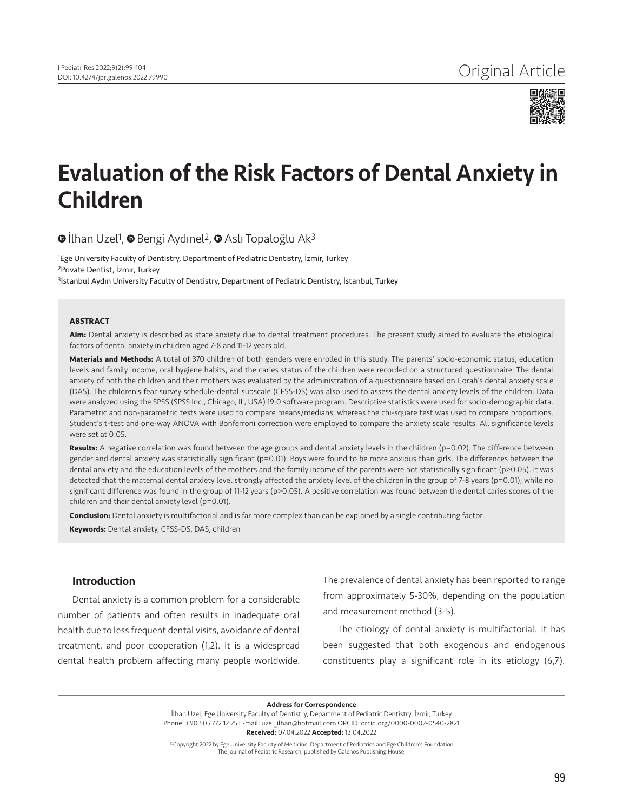

# Evaluation of the Risk Factors of Dental Anxiety in Children

 $\bullet$ İlhan Uzel<sup>1</sup>,  $\bullet$  Bengi Aydınel<sup>2</sup>,  $\bullet$  Aslı Topaloğlu Ak<sup>3</sup>

1Ege University Faculty of Dentistry, Department of Pediatric Dentistry, İzmir, Turkey 2Private Dentist, İzmir, Turkey <sup>3</sup>İstanbul Aydın University Faculty of Dentistry, Department of Pediatric Dentistry, İstanbul, Turkey

#### **ABSTRACT**

**Aim:** Dental anxiety is described as state anxiety due to dental treatment procedures. The present study aimed to evaluate the etiological factors of dental anxiety in children aged 7-8 and 11-12 years old.

**Materials and Methods:** A total of 370 children of both genders were enrolled in this study. The parents' socio-economic status, education levels and family income, oral hygiene habits, and the caries status of the children were recorded on a structured questionnaire. The dental anxiety of both the children and their mothers was evaluated by the administration of a questionnaire based on Corah's dental anxiety scale (DAS). The children's fear survey schedule-dental subscale (CFSS-DS) was also used to assess the dental anxiety levels of the children. Data were analyzed using the SPSS (SPSS Inc., Chicago, IL, USA) 19.0 software program. Descriptive statistics were used for socio-demographic data. Parametric and non-parametric tests were used to compare means/medians, whereas the chi-square test was used to compare proportions. Student's t-test and one-way ANOVA with Bonferroni correction were employed to compare the anxiety scale results. All significance levels were set at 0.05.

Results: A negative correlation was found between the age groups and dental anxiety levels in the children (p=0.02). The difference between gender and dental anxiety was statistically significant (p=0.01). Boys were found to be more anxious than girls. The differences between the dental anxiety and the education levels of the mothers and the family income of the parents were not statistically significant (p>0.05). It was detected that the maternal dental anxiety level strongly affected the anxiety level of the children in the group of 7-8 years (p=0.01), while no significant difference was found in the group of 11-12 years (p>0.05). A positive correlation was found between the dental caries scores of the children and their dental anxiety level (p=0.01).

**Conclusion:** Dental anxiety is multifactorial and is far more complex than can be explained by a single contributing factor.

**Keywords:** Dental anxiety, CFSS-DS, DAS, children

## Introduction

Dental anxiety is a common problem for a considerable number of patients and often results in inadequate oral health due to less frequent dental visits, avoidance of dental treatment, and poor cooperation (1,2). It is a widespread dental health problem affecting many people worldwide.

The prevalence of dental anxiety has been reported to range from approximately 5-30%, depending on the population and measurement method (3-5).

The etiology of dental anxiety is multifactorial. It has been suggested that both exogenous and endogenous constituents play a significant role in its etiology (6,7).

Address for Correspondence

İlhan Uzel, Ege University Faculty of Dentistry, Department of Pediatric Dentistry, İzmir, Turkey Phone: +90 505 772 12 25 E-mail: uzel\_ilhan@hotmail.com ORCID: orcid.org/0000-0002-0540-2821 Received: 07.04.2022 Accepted: 13.04.2022

©Copyright 2022 by Ege University Faculty of Medicine, Department of Pediatrics and Ege Children's Foundation The Journal of Pediatric Research, published by Galenos Publishing House.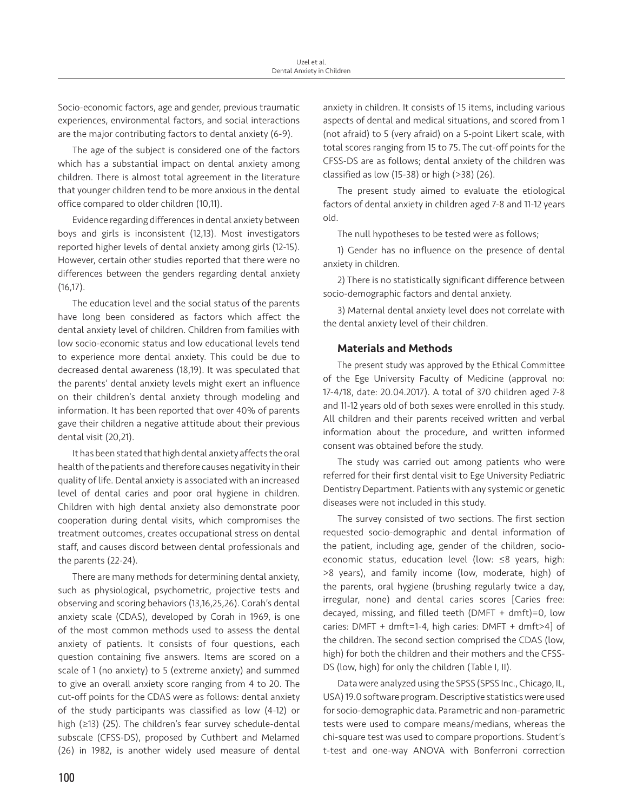Socio-economic factors, age and gender, previous traumatic experiences, environmental factors, and social interactions are the major contributing factors to dental anxiety (6-9).

The age of the subject is considered one of the factors which has a substantial impact on dental anxiety among children. There is almost total agreement in the literature that younger children tend to be more anxious in the dental office compared to older children (10,11).

Evidence regarding differences in dental anxiety between boys and girls is inconsistent (12,13). Most investigators reported higher levels of dental anxiety among girls (12-15). However, certain other studies reported that there were no differences between the genders regarding dental anxiety (16,17).

The education level and the social status of the parents have long been considered as factors which affect the dental anxiety level of children. Children from families with low socio-economic status and low educational levels tend to experience more dental anxiety. This could be due to decreased dental awareness (18,19). It was speculated that the parents' dental anxiety levels might exert an influence on their children's dental anxiety through modeling and information. It has been reported that over 40% of parents gave their children a negative attitude about their previous dental visit (20,21).

It has been stated that high dental anxiety affects the oral health of the patients and therefore causes negativity in their quality of life. Dental anxiety is associated with an increased level of dental caries and poor oral hygiene in children. Children with high dental anxiety also demonstrate poor cooperation during dental visits, which compromises the treatment outcomes, creates occupational stress on dental staff, and causes discord between dental professionals and the parents (22-24).

There are many methods for determining dental anxiety, such as physiological, psychometric, projective tests and observing and scoring behaviors (13,16,25,26). Corah's dental anxiety scale (CDAS), developed by Corah in 1969, is one of the most common methods used to assess the dental anxiety of patients. It consists of four questions, each question containing five answers. Items are scored on a scale of 1 (no anxiety) to 5 (extreme anxiety) and summed to give an overall anxiety score ranging from 4 to 20. The cut-off points for the CDAS were as follows: dental anxiety of the study participants was classified as low (4-12) or high (≥13) (25). The children's fear survey schedule-dental subscale (CFSS-DS), proposed by Cuthbert and Melamed (26) in 1982, is another widely used measure of dental anxiety in children. It consists of 15 items, including various aspects of dental and medical situations, and scored from 1 (not afraid) to 5 (very afraid) on a 5-point Likert scale, with total scores ranging from 15 to 75. The cut-off points for the CFSS-DS are as follows; dental anxiety of the children was classified as low (15-38) or high (>38) (26).

The present study aimed to evaluate the etiological factors of dental anxiety in children aged 7-8 and 11-12 years old.

The null hypotheses to be tested were as follows;

1) Gender has no influence on the presence of dental anxiety in children.

2) There is no statistically significant difference between socio-demographic factors and dental anxiety.

3) Maternal dental anxiety level does not correlate with the dental anxiety level of their children.

## Materials and Methods

The present study was approved by the Ethical Committee of the Ege University Faculty of Medicine (approval no: 17-4/18, date: 20.04.2017). A total of 370 children aged 7-8 and 11-12 years old of both sexes were enrolled in this study. All children and their parents received written and verbal information about the procedure, and written informed consent was obtained before the study.

The study was carried out among patients who were referred for their first dental visit to Ege University Pediatric Dentistry Department. Patients with any systemic or genetic diseases were not included in this study.

The survey consisted of two sections. The first section requested socio-demographic and dental information of the patient, including age, gender of the children, socioeconomic status, education level (low: ≤8 years, high: >8 years), and family income (low, moderate, high) of the parents, oral hygiene (brushing regularly twice a day, irregular, none) and dental caries scores [Caries free: decayed, missing, and filled teeth (DMFT + dmft)=0, low caries: DMFT + dmft=1-4, high caries: DMFT + dmft>4] of the children. The second section comprised the CDAS (low, high) for both the children and their mothers and the CFSS-DS (low, high) for only the children (Table I, II).

Data were analyzed using the SPSS (SPSS Inc., Chicago, IL, USA) 19.0 software program. Descriptive statistics were used for socio-demographic data. Parametric and non-parametric tests were used to compare means/medians, whereas the chi-square test was used to compare proportions. Student's t-test and one-way ANOVA with Bonferroni correction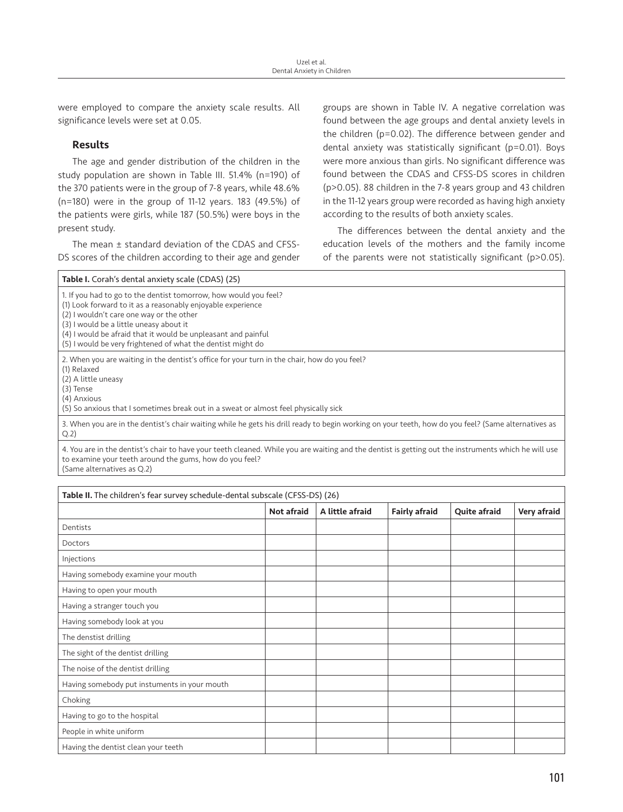were employed to compare the anxiety scale results. All significance levels were set at 0.05.

# Results

The age and gender distribution of the children in the study population are shown in Table III. 51.4% (n=190) of the 370 patients were in the group of 7-8 years, while 48.6% (n=180) were in the group of 11-12 years. 183 (49.5%) of the patients were girls, while 187 (50.5%) were boys in the present study.

The mean ± standard deviation of the CDAS and CFSS-DS scores of the children according to their age and gender

groups are shown in Table IV. A negative correlation was found between the age groups and dental anxiety levels in the children (p=0.02). The difference between gender and dental anxiety was statistically significant (p=0.01). Boys were more anxious than girls. No significant difference was found between the CDAS and CFSS-DS scores in children (p>0.05). 88 children in the 7-8 years group and 43 children in the 11-12 years group were recorded as having high anxiety according to the results of both anxiety scales.

The differences between the dental anxiety and the education levels of the mothers and the family income of the parents were not statistically significant (p>0.05).

| Table I. Corah's dental anxiety scale (CDAS) (25)                                                                                                           |
|-------------------------------------------------------------------------------------------------------------------------------------------------------------|
| 1. If you had to go to the dentist tomorrow, how would you feel?                                                                                            |
| (1) Look forward to it as a reasonably enjoyable experience                                                                                                 |
| (2) I wouldn't care one way or the other                                                                                                                    |
| (3) I would be a little uneasy about it                                                                                                                     |
| (4) I would be afraid that it would be unpleasant and painful                                                                                               |
| (5) I would be very frightened of what the dentist might do                                                                                                 |
| 2. When you are waiting in the dentist's office for your turn in the chair, how do you feel?                                                                |
| (1) Relaxed                                                                                                                                                 |
| (2) A little uneasy                                                                                                                                         |
| (3) Tense                                                                                                                                                   |
| (4) Anxious                                                                                                                                                 |
| (5) So anxious that I sometimes break out in a sweat or almost feel physically sick                                                                         |
| 3. When you are in the dentist's chair waiting while he gets his drill ready to begin working on your teeth, how do you feel? (Same alternatives as<br>Q.2) |
|                                                                                                                                                             |

4. You are in the dentist's chair to have your teeth cleaned. While you are waiting and the dentist is getting out the instruments which he will use to examine your teeth around the gums, how do you feel? (Same alternatives as Q.2)

| Table II. The children's fear survey schedule-dental subscale (CFSS-DS) (26) |                   |                 |                      |                     |             |  |  |
|------------------------------------------------------------------------------|-------------------|-----------------|----------------------|---------------------|-------------|--|--|
|                                                                              | <b>Not afraid</b> | A little afraid | <b>Fairly afraid</b> | <b>Quite afraid</b> | Very afraid |  |  |
| Dentists                                                                     |                   |                 |                      |                     |             |  |  |
| Doctors                                                                      |                   |                 |                      |                     |             |  |  |
| Injections                                                                   |                   |                 |                      |                     |             |  |  |
| Having somebody examine your mouth                                           |                   |                 |                      |                     |             |  |  |
| Having to open your mouth                                                    |                   |                 |                      |                     |             |  |  |
| Having a stranger touch you                                                  |                   |                 |                      |                     |             |  |  |
| Having somebody look at you                                                  |                   |                 |                      |                     |             |  |  |
| The denstist drilling                                                        |                   |                 |                      |                     |             |  |  |
| The sight of the dentist drilling                                            |                   |                 |                      |                     |             |  |  |
| The noise of the dentist drilling                                            |                   |                 |                      |                     |             |  |  |
| Having somebody put instuments in your mouth                                 |                   |                 |                      |                     |             |  |  |
| Choking                                                                      |                   |                 |                      |                     |             |  |  |
| Having to go to the hospital                                                 |                   |                 |                      |                     |             |  |  |
| People in white uniform                                                      |                   |                 |                      |                     |             |  |  |
| Having the dentist clean your teeth                                          |                   |                 |                      |                     |             |  |  |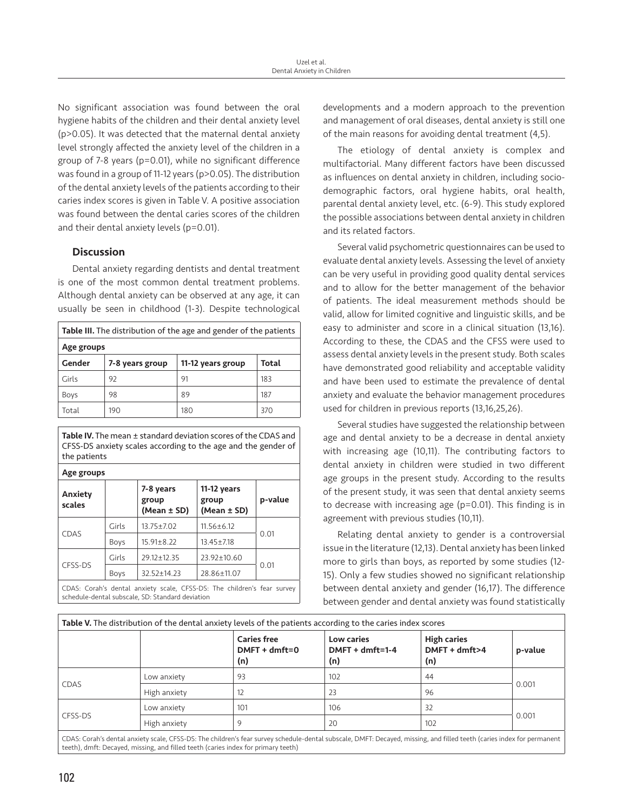No significant association was found between the oral hygiene habits of the children and their dental anxiety level (p>0.05). It was detected that the maternal dental anxiety level strongly affected the anxiety level of the children in a group of 7-8 years (p=0.01), while no significant difference was found in a group of 11-12 years (p>0.05). The distribution of the dental anxiety levels of the patients according to their caries index scores is given in Table V. A positive association was found between the dental caries scores of the children and their dental anxiety levels (p=0.01).

# **Discussion**

Dental anxiety regarding dentists and dental treatment is one of the most common dental treatment problems. Although dental anxiety can be observed at any age, it can usually be seen in childhood (1-3). Despite technological

| Table III. The distribution of the age and gender of the patients |                 |                   |       |  |  |  |  |
|-------------------------------------------------------------------|-----------------|-------------------|-------|--|--|--|--|
| Age groups                                                        |                 |                   |       |  |  |  |  |
| Gender                                                            | 7-8 years group | 11-12 years group | Total |  |  |  |  |
| Girls                                                             | 92              | 91                | 183   |  |  |  |  |
| <b>Boys</b>                                                       | 98              | 89                | 187   |  |  |  |  |
| Total                                                             | 190             | 180               | 370   |  |  |  |  |

Table IV. The mean ± standard deviation scores of the CDAS and CFSS-DS anxiety scales according to the age and the gender of the patients

Age groups Anxiety scales 7-8 years group (Mean ± SD) 11-12 years group (Mean ± SD) p-value CDAS Girls  $13.75 \pm 7.02$  11.56 $\pm$ 6.12 0.01 Boys  $15.91 \pm 8.22$  13.45 $\pm$ 7.18 CFSS-DS Girls  $29.12 \pm 12.35$  23.92 $\pm$ 10.60 0.01 Boys 32.52±14.23 28.86±11.07

CDAS: Corah's dental anxiety scale, CFSS-DS: The children's fear survey schedule-dental subscale, SD: Standard deviation

developments and a modern approach to the prevention and management of oral diseases, dental anxiety is still one of the main reasons for avoiding dental treatment (4,5).

The etiology of dental anxiety is complex and multifactorial. Many different factors have been discussed as influences on dental anxiety in children, including sociodemographic factors, oral hygiene habits, oral health, parental dental anxiety level, etc. (6-9). This study explored the possible associations between dental anxiety in children and its related factors.

Several valid psychometric questionnaires can be used to evaluate dental anxiety levels. Assessing the level of anxiety can be very useful in providing good quality dental services and to allow for the better management of the behavior of patients. The ideal measurement methods should be valid, allow for limited cognitive and linguistic skills, and be easy to administer and score in a clinical situation (13,16). According to these, the CDAS and the CFSS were used to assess dental anxiety levels in the present study. Both scales have demonstrated good reliability and acceptable validity and have been used to estimate the prevalence of dental anxiety and evaluate the behavior management procedures used for children in previous reports (13,16,25,26).

Several studies have suggested the relationship between age and dental anxiety to be a decrease in dental anxiety with increasing age (10,11). The contributing factors to dental anxiety in children were studied in two different age groups in the present study. According to the results of the present study, it was seen that dental anxiety seems to decrease with increasing age (p=0.01). This finding is in agreement with previous studies (10,11).

Relating dental anxiety to gender is a controversial issue in the literature (12,13). Dental anxiety has been linked more to girls than boys, as reported by some studies (12- 15). Only a few studies showed no significant relationship between dental anxiety and gender (16,17). The difference between gender and dental anxiety was found statistically

| Table V. The distribution of the dental anxiety levels of the patients according to the caries index scores |              |                                                |                                        |                                            |         |  |  |  |  |
|-------------------------------------------------------------------------------------------------------------|--------------|------------------------------------------------|----------------------------------------|--------------------------------------------|---------|--|--|--|--|
|                                                                                                             |              | <b>Caries free</b><br>$DMFT + dmft = 0$<br>(n) | Low caries<br>$DMFT + dmft=1-4$<br>(n) | <b>High caries</b><br>DMFT + dmft>4<br>(n) | p-value |  |  |  |  |
| CDAS                                                                                                        | Low anxiety  | 93                                             | 102                                    | 44                                         |         |  |  |  |  |
|                                                                                                             | High anxiety | 12                                             | 23                                     | 96                                         | 0.001   |  |  |  |  |
| CFSS-DS                                                                                                     | Low anxiety  | 101                                            | 106                                    | 32                                         | 0.001   |  |  |  |  |
|                                                                                                             | High anxiety | 9                                              | 20                                     | 102                                        |         |  |  |  |  |

CDAS: Corah's dental anxiety scale, CFSS-DS: The children's fear survey schedule-dental subscale, DMFT: Decayed, missing, and filled teeth (caries index for permanent teeth), dmft: Decayed, missing, and filled teeth (caries index for primary teeth)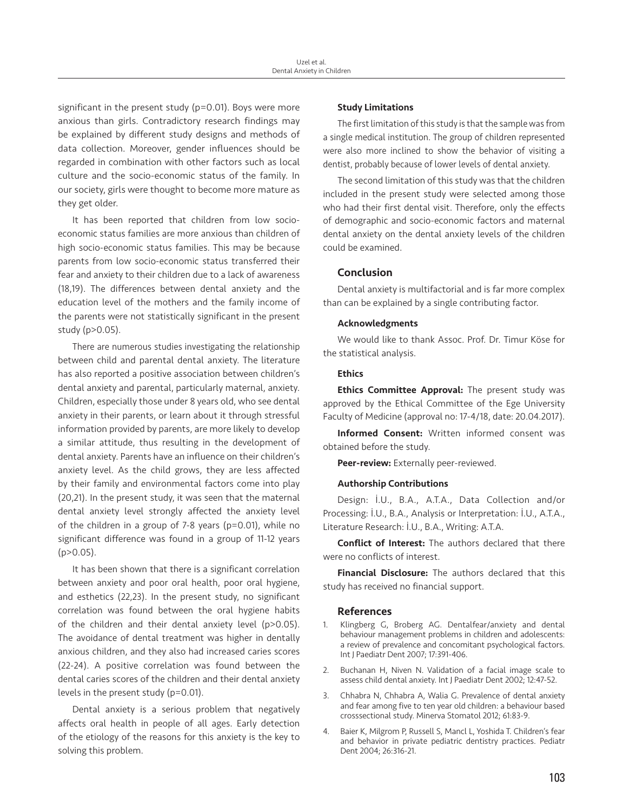significant in the present study (p=0.01). Boys were more anxious than girls. Contradictory research findings may be explained by different study designs and methods of data collection. Moreover, gender influences should be regarded in combination with other factors such as local culture and the socio-economic status of the family. In our society, girls were thought to become more mature as they get older.

It has been reported that children from low socioeconomic status families are more anxious than children of high socio-economic status families. This may be because parents from low socio-economic status transferred their fear and anxiety to their children due to a lack of awareness (18,19). The differences between dental anxiety and the education level of the mothers and the family income of the parents were not statistically significant in the present study (p>0.05).

There are numerous studies investigating the relationship between child and parental dental anxiety. The literature has also reported a positive association between children's dental anxiety and parental, particularly maternal, anxiety. Children, especially those under 8 years old, who see dental anxiety in their parents, or learn about it through stressful information provided by parents, are more likely to develop a similar attitude, thus resulting in the development of dental anxiety. Parents have an influence on their children's anxiety level. As the child grows, they are less affected by their family and environmental factors come into play (20,21). In the present study, it was seen that the maternal dental anxiety level strongly affected the anxiety level of the children in a group of 7-8 years (p=0.01), while no significant difference was found in a group of 11-12 years  $(p>0.05)$ .

It has been shown that there is a significant correlation between anxiety and poor oral health, poor oral hygiene, and esthetics (22,23). In the present study, no significant correlation was found between the oral hygiene habits of the children and their dental anxiety level (p>0.05). The avoidance of dental treatment was higher in dentally anxious children, and they also had increased caries scores (22-24). A positive correlation was found between the dental caries scores of the children and their dental anxiety levels in the present study (p=0.01).

Dental anxiety is a serious problem that negatively affects oral health in people of all ages. Early detection of the etiology of the reasons for this anxiety is the key to solving this problem.

## Study Limitations

The first limitation of this study is that the sample was from a single medical institution. The group of children represented were also more inclined to show the behavior of visiting a dentist, probably because of lower levels of dental anxiety.

The second limitation of this study was that the children included in the present study were selected among those who had their first dental visit. Therefore, only the effects of demographic and socio-economic factors and maternal dental anxiety on the dental anxiety levels of the children could be examined.

## Conclusion

Dental anxiety is multifactorial and is far more complex than can be explained by a single contributing factor.

#### Acknowledgments

We would like to thank Assoc. Prof. Dr. Timur Köse for the statistical analysis.

## Ethics

**Ethics Committee Approval:** The present study was approved by the Ethical Committee of the Ege University Faculty of Medicine (approval no: 17-4/18, date: 20.04.2017).

Informed Consent: Written informed consent was obtained before the study.

Peer-review: Externally peer-reviewed.

### Authorship Contributions

Design: İ.U., B.A., A.T.A., Data Collection and/or Processing: İ.U., B.A., Analysis or Interpretation: İ.U., A.T.A., Literature Research: İ.U., B.A., Writing: A.T.A.

Conflict of Interest: The authors declared that there were no conflicts of interest.

**Financial Disclosure:** The authors declared that this study has received no financial support.

#### References

- 1. Klingberg G, Broberg AG. Dentalfear/anxiety and dental behaviour management problems in children and adolescents: a review of prevalence and concomitant psychological factors. Int J Paediatr Dent 2007; 17:391-406.
- 2. Buchanan H, Niven N. Validation of a facial image scale to assess child dental anxiety. Int J Paediatr Dent 2002; 12:47-52.
- 3. Chhabra N, Chhabra A, Walia G. Prevalence of dental anxiety and fear among five to ten year old children: a behaviour based crosssectional study. Minerva Stomatol 2012; 61:83-9.
- 4. Baier K, Milgrom P, Russell S, Mancl L, Yoshida T. Children's fear and behavior in private pediatric dentistry practices. Pediatr Dent 2004; 26:316-21.